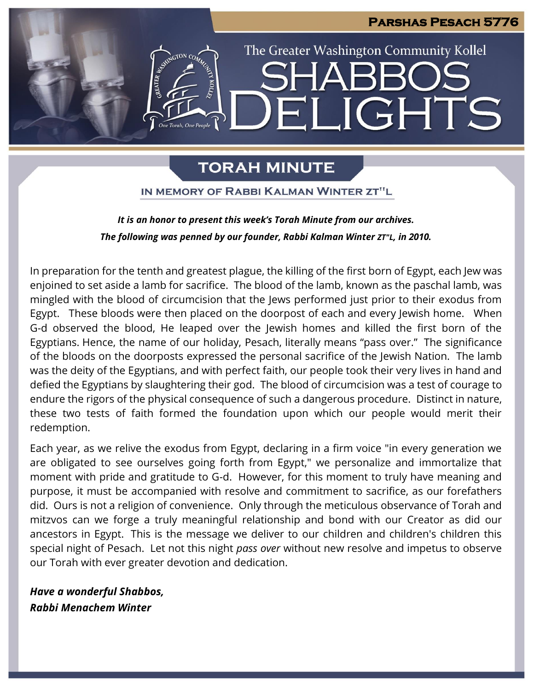

## **TORAH MINUTE**

IN MEMORY OF RABBI KALMAN WINTER ZT"L

## *It is an honor to present this week's Torah Minute from our archives. The following was penned by our founder, Rabbi Kalman Winter ZT"L, in 2010.*

In preparation for the tenth and greatest plague, the killing of the first born of Egypt, each Jew was enjoined to set aside a lamb for sacrifice. The blood of the lamb, known as the paschal lamb, was mingled with the blood of circumcision that the Jews performed just prior to their exodus from Egypt. These bloods were then placed on the doorpost of each and every Jewish home. When G-d observed the blood, He leaped over the Jewish homes and killed the first born of the Egyptians. Hence, the name of our holiday, Pesach, literally means "pass over." The significance of the bloods on the doorposts expressed the personal sacrifice of the Jewish Nation. The lamb was the deity of the Egyptians, and with perfect faith, our people took their very lives in hand and defied the Egyptians by slaughtering their god. The blood of circumcision was a test of courage to endure the rigors of the physical consequence of such a dangerous procedure. Distinct in nature, these two tests of faith formed the foundation upon which our people would merit their redemption.

Each year, as we relive the exodus from Egypt, declaring in a firm voice "in every generation we are obligated to see ourselves going forth from Egypt," we personalize and immortalize that moment with pride and gratitude to G-d. However, for this moment to truly have meaning and purpose, it must be accompanied with resolve and commitment to sacrifice, as our forefathers did. Ours is not a religion of convenience. Only through the meticulous observance of Torah and mitzvos can we forge a truly meaningful relationship and bond with our Creator as did our ancestors in Egypt. This is the message we deliver to our children and children's children this special night of Pesach. Let not this night *pass over* without new resolve and impetus to observe our Torah with ever greater devotion and dedication.

*Have a wonderful Shabbos, Rabbi Menachem Winter*